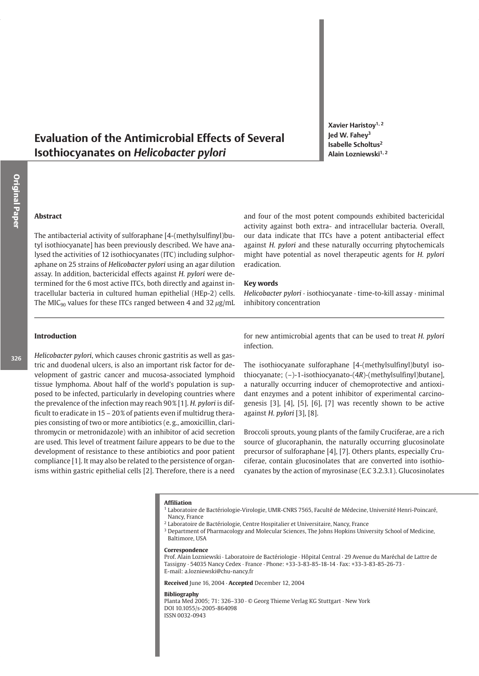# **Evaluation of the Antimicrobial Effects of Several** Isothiocyanates on Helicobacter pylori

Xavier Haristoy<sup>1, 2</sup> led W. Fahev<sup>3</sup> Isabelle Scholtus<sup>2</sup> Alain Lozniewski<sup>1, 2</sup>

## **Abstract**

The antibacterial activity of sulforaphane [4-(methylsulfinyl)butyl isothiocyanate] has been previously described. We have analysed the activities of 12 isothiocyanates (ITC) including sulphoraphane on 25 strains of Helicobacter pylori using an agar dilution assay. In addition, bactericidal effects against H. pylori were determined for the 6 most active ITCs, both directly and against intracellular bacteria in cultured human epithelial (HEp-2) cells. The MIC<sub>90</sub> values for these ITCs ranged between 4 and 32  $\mu$ g/mL and four of the most potent compounds exhibited bactericidal activity against both extra- and intracellular bacteria. Overall, our data indicate that ITCs have a potent antibacterial effect against H. pylori and these naturally occurring phytochemicals might have potential as novel therapeutic agents for H. pylori eradication.

### **Kev words**

Helicobacter pylori · isothiocyanate · time-to-kill assay · minimal inhibitory concentration

## **Introduction**

Helicobacter pylori, which causes chronic gastritis as well as gastric and duodenal ulcers, is also an important risk factor for development of gastric cancer and mucosa-associated lymphoid tissue lymphoma. About half of the world's population is supposed to be infected, particularly in developing countries where the prevalence of the infection may reach 90% [1]. H. pylori is difficult to eradicate in 15 - 20% of patients even if multidrug therapies consisting of two or more antibiotics (e.g., amoxicillin, clarithromycin or metronidazole) with an inhibitor of acid secretion are used. This level of treatment failure appears to be due to the development of resistance to these antibiotics and poor patient compliance [1]. It may also be related to the persistence of organisms within gastric epithelial cells [2]. Therefore, there is a need for new antimicrobial agents that can be used to treat H. pylori infection.

The isothiocyanate sulforaphane [4-(methylsulfinyl)butyl isothiocyanate;  $(-)$ -1-isothiocyanato- $(4R)$ -(methylsulfinyl)butane], a naturally occurring inducer of chemoprotective and antioxidant enzymes and a potent inhibitor of experimental carcinogenesis [3], [4], [5], [6], [7] was recently shown to be active against H. pylori [3], [8].

Broccoli sprouts, young plants of the family Cruciferae, are a rich source of glucoraphanin, the naturally occurring glucosinolate precursor of sulforaphane [4], [7]. Others plants, especially Cruciferae, contain glucosinolates that are converted into isothiocyanates by the action of myrosinase (E.C 3.2.3.1). Glucosinolates

#### **Affiliation**

- Laboratoire de Bactériologie-Virologie, UMR-CNRS 7565, Faculté de Médecine, Université Henri-Poincaré, Nancy, France
- <sup>2</sup> Laboratoire de Bactériologie, Centre Hospitalier et Universitaire, Nancy, France
- <sup>3</sup> Department of Pharmacology and Molecular Sciences, The Johns Hopkins University School of Medicine, Baltimore, USA

#### Correspondence

Prof. Alain Lozniewski - Laboratoire de Bactériologie - Hôpital Central - 29 Avenue du Maréchal de Lattre de Tassigny · 54035 Nancy Cedex · France · Phone: +33-3-83-85-18-14 · Fax: +33-3-83-85-26-73 · E-mail: a.lozniewski@chu-nancy.fr

Received June 16, 2004 · Accepted December 12, 2004

#### **Bibliography**

Planta Med 2005; 71: 326-330 · © Georg Thieme Verlag KG Stuttgart · New York DOI 10.1055/s-2005-864098 ISSN 0032-0943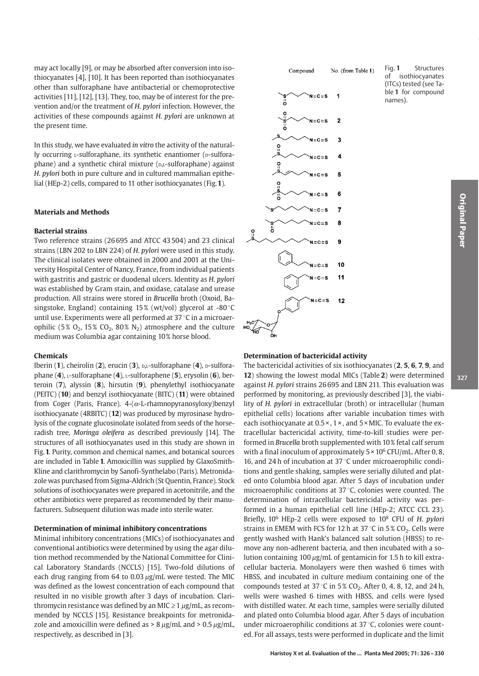may act locally [9], or may be absorbed after conversion into isothiocyanates [4], [10]. It has been reported than isothiocyanates other than sulforaphane have antibacterial or chemoprotective activities [11], [12], [13]. They, too, may be of interest for the prevention and/or the treatment of H. pylori infection. However, the activities of these compounds against H. pylori are unknown at the present time.

In this study, we have evaluated in vitro the activity of the naturally occurring *L*-sulforaphane, its synthetic enantiomer (*D*-sulforaphane) and a synthetic chiral mixture (p,L-sulforaphane) against H. pylori both in pure culture and in cultured mammalian epithelial (HEp-2) cells, compared to 11 other isothiocyanates (Fig. 1).

### **Materials and Methods**

#### **Bacterial strains**

Two reference strains (26 695 and ATCC 43 504) and 23 clinical strains (LBN 202 to LBN 224) of H. pylori were used in this study. The clinical isolates were obtained in 2000 and 2001 at the University Hospital Center of Nancy, France, from individual patients with gastritis and gastric or duodenal ulcers. Identity as H. pylori was established by Gram stain, and oxidase, catalase and urease production. All strains were stored in Brucella broth (Oxoid, Basingstoke, England) containing 15% (wt/vol) glycerol at -80 °C until use. Experiments were all performed at 37 °C in a microaerophilic (5%  $O_2$ , 15%  $CO_2$ , 80%  $N_2$ ) atmosphere and the culture medium was Columbia agar containing 10% horse blood.

#### Chemicals

Iberin (1), cheirolin (2), erucin (3), D,L-sulforaphane (4), D-sulforaphane (4), *L*-sulforaphane (4), *L*-sulforaphene (5), erysolin (6), berteroin  $(7)$ , alyssin  $(8)$ , hirsutin  $(9)$ , phenylethyl isothiocyanate (PEITC) (10) and benzyl isothiocyanate (BITC) (11) were obtained from Coger (Paris, France).  $4-(\alpha$ -L-rhamnopyranosyloxy)benzyl isothiocyanate (4RBITC) (12) was produced by myrosinase hydrolysis of the cognate glucosinolate isolated from seeds of the horseradish tree, Moringa oleifera as described previously [14]. The structures of all isothiocyanates used in this study are shown in Fig. 1. Purity, common and chemical names, and botanical sources are included in Table 1. Amoxicillin was supplied by GlaxoSmith-Kline and clarithromycin by Sanofi-Synthelabo (Paris). Metronidazole was purchased from Sigma-Aldrich (St Quentin, France). Stock solutions of isothiocyanates were prepared in acetonitrile, and the other antibiotics were prepared as recommended by their manufacturers. Subsequent dilution was made into sterile water.

#### Determination of minimal inhibitory concentrations

Minimal inhibitory concentrations (MICs) of isothiocyanates and conventional antibiotics were determined by using the agar dilution method recommended by the National Committee for Clinical Laboratory Standards (NCCLS) [15]. Two-fold dilutions of each drug ranging from 64 to 0.03 ug/mL were tested. The MIC was defined as the lowest concentration of each compound that resulted in no visible growth after 3 days of incubation. Clarithromycin resistance was defined by an MIC  $\geq$  1  $\mu$ g/mL, as recommended by NCCLS [15]. Resistance breakpoints for metronidazole and amoxicillin were defined as  $> 8 \mu g/mL$  and  $> 0.5 \mu g/mL$ , respectively, as described in [3].

No. (from Table 1) Compound



#### Fig. 1 Structures  $\sigma$ f isothiocyanates (ITCs) tested (see Table 1 for compound names).

### **Determination of bactericidal activity**

The bactericidal activities of six isothiocyanates (2, 5, 6, 7, 9, and 12) showing the lowest modal MICs (Table 2) were determined against H. pylori strains 26 695 and LBN 211. This evaluation was performed by monitoring, as previously described [3], the viability of H. pylori in extracellular (broth) or intracellular (human epithelial cells) locations after variable incubation times with each isothiocyanate at  $0.5 \times$ ,  $1 \times$ , and  $5 \times$  MIC. To evaluate the extracellular bactericidal activity, time-to-kill studies were performed in Brucella broth supplemented with 10% fetal calf serum with a final inoculum of approximately  $5 \times 10^6$  CFU/mL. After 0, 8, 16, and 24 h of incubation at 37 °C under microaerophilic conditions and gentle shaking, samples were serially diluted and plated onto Columbia blood agar. After 5 days of incubation under microaerophilic conditions at  $37^{\circ}$ C, colonies were counted. The determination of intracellular bactericidal activity was performed in a human epithelial cell line (HEp-2; ATCC CCL 23). Briefly, 10<sup>6</sup> HEp-2 cells were exposed to 10<sup>8</sup> CFU of H. pylori strains in EMEM with FCS for 12 h at 37 °C in 5%  $CO_2$ . Cells were gently washed with Hank's balanced salt solution (HBSS) to remove any non-adherent bacteria, and then incubated with a solution containing  $100 \mu g$ /mL of gentamicin for 1.5 h to kill extracellular bacteria. Monolayers were then washed 6 times with HBSS, and incubated in culture medium containing one of the compounds tested at  $37^{\circ}$ C in  $5\%$  CO<sub>2</sub>. After 0, 4, 8, 12, and 24 h, wells were washed 6 times with HBSS, and cells were lysed with distilled water. At each time, samples were serially diluted and plated onto Columbia blood agar. After 5 days of incubation under microaerophilic conditions at 37 °C, colonies were counted. For all assays, tests were performed in duplicate and the limit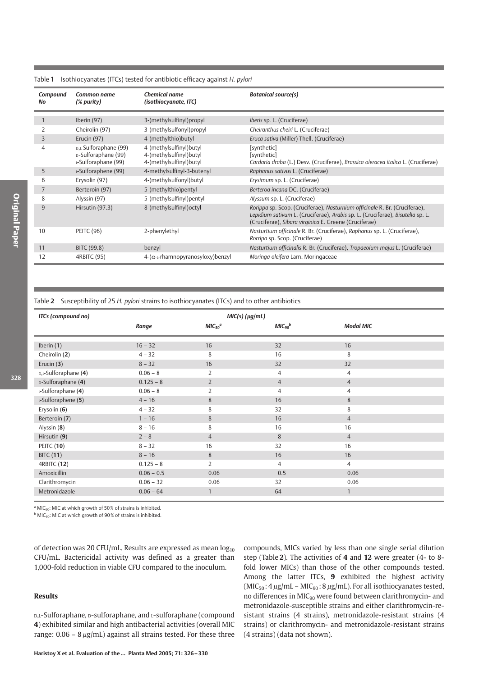| Compound<br>No | Common name<br>(% purity)                                           | <b>Chemical name</b><br>(isothiocyanate, ITC)                                 | <b>Botanical source(s)</b>                                                                                                                                                                                            |
|----------------|---------------------------------------------------------------------|-------------------------------------------------------------------------------|-----------------------------------------------------------------------------------------------------------------------------------------------------------------------------------------------------------------------|
|                |                                                                     |                                                                               |                                                                                                                                                                                                                       |
|                | Iberin (97)                                                         | 3-(methylsulfinyl)propyl                                                      | Iberis sp. L. (Cruciferae)                                                                                                                                                                                            |
|                | Cheirolin (97)                                                      | 3-(methylsulfonyl)propyl                                                      | Cheiranthus cheiri L. (Cruciferae)                                                                                                                                                                                    |
| 3              | Erucin (97)                                                         | 4-(methylthio)butyl                                                           | Eruca sativa (Miller) Thell. (Cruciferae)                                                                                                                                                                             |
| $\overline{4}$ | D,L-Sulforaphane (99)<br>D-Sulforaphane (99)<br>L-Sulforaphane (99) | 4-(methylsulfinyl)butyl<br>4-(methylsulfinyl)butyl<br>4-(methylsulfinyl)butyl | [synthetic]<br>[synthetic]<br>Cardaria draba (L.) Desv. (Cruciferae), Brassica oleracea italica L. (Cruciferae)                                                                                                       |
| 5              | L-Sulforaphene (99)                                                 | 4-methylsulfinyl-3-butenyl                                                    | Raphanus sativus L. (Cruciferae)                                                                                                                                                                                      |
| 6              | Erysolin (97)                                                       | 4-(methylsulfonyl)butyl                                                       | Erysimum sp. L. (Cruciferae)                                                                                                                                                                                          |
| 7              | Berteroin (97)                                                      | 5-(methylthio)pentyl                                                          | Berteroa incana DC. (Cruciferae)                                                                                                                                                                                      |
| 8              | Alyssin (97)                                                        | 5-(methylsulfinyl)pentyl                                                      | Alyssum sp. L. (Cruciferae)                                                                                                                                                                                           |
| 9              | Hirsutin (97.3)                                                     | 8-(methylsulfinyl) octyl                                                      | Rorippa sp. Scop. (Cruciferae), Nasturnium officinale R. Br. (Cruciferae),<br>Lepidium sativum L. (Cruciferae), Arabis sp. L. (Cruciferae), Bisutella sp. L.<br>(Cruciferae), Sibara virginica E. Greene (Cruciferae) |
| 10             | <b>PEITC (96)</b>                                                   | 2-phenylethyl                                                                 | Nasturtium officinale R. Br. (Cruciferae), Raphanus sp. L. (Cruciferae),<br>Rorripa sp. Scop. (Cruciferae)                                                                                                            |
| 11             | BITC (99.8)                                                         | benzyl                                                                        | Nasturtium officinalis R. Br. (Cruciferae), Tropaeolum majus L. (Cruciferae)                                                                                                                                          |
| 12             | 4RBITC (95)                                                         | $4-(\alpha$ ---rhamnopyranosyloxy)benzyl                                      | Moringa oleifera Lam. Moringaceae                                                                                                                                                                                     |

#### Isothiocyanates (ITCs) tested for antibiotic efficacy against H. pylori Table 1

Table 2 Susceptibility of 25 H. pylori strains to isothiocyanates (ITCs) and to other antibiotics

| ITCs (compound no)<br>$MIC(s)$ ( $\mu g/mL$ ) |              |                      |                      |                  |
|-----------------------------------------------|--------------|----------------------|----------------------|------------------|
|                                               | Range        | $MIC50$ <sup>a</sup> | $MIC90$ <sup>b</sup> | <b>Modal MIC</b> |
| Iberin $(1)$                                  | $16 - 32$    | 16                   | 32                   | 16               |
| Cheirolin (2)                                 | $4 - 32$     | 8                    | 16                   | 8                |
| Erucin $(3)$                                  | $8 - 32$     | 16                   | 32                   | 32               |
| D,L-Sulforaphane (4)                          | $0.06 - 8$   | $\overline{2}$       | $\overline{4}$       | $\overline{4}$   |
| D-Sulforaphane (4)                            | $0.125 - 8$  | $\overline{2}$       | $\overline{4}$       | $\overline{4}$   |
| L-Sulforaphane (4)                            | $0.06 - 8$   | 2                    | $\overline{4}$       | $\overline{4}$   |
| L-Sulforaphene (5)                            | $4 - 16$     | 8                    | 16                   | 8                |
| Erysolin (6)                                  | $4 - 32$     | 8                    | 32                   | 8                |
| Berteroin (7)                                 | $1 - 16$     | 8                    | 16                   | $\overline{4}$   |
| Alyssin (8)                                   | $8 - 16$     | 8                    | 16                   | 16               |
| Hirsutin (9)                                  | $2 - 8$      | $\overline{4}$       | 8                    | $\overline{4}$   |
| <b>PEITC (10)</b>                             | $8 - 32$     | 16                   | 32                   | 16               |
| <b>BITC (11)</b>                              | $8 - 16$     | 8                    | 16                   | 16               |
| <b>4RBITC (12)</b>                            | $0.125 - 8$  | $\overline{2}$       | $\overline{4}$       | $\overline{4}$   |
| Amoxicillin                                   | $0.06 - 0.5$ | 0.06                 | 0.5                  | 0.06             |
| Clarithromycin                                | $0.06 - 32$  | 0.06                 | 32                   | 0.06             |
| Metronidazole                                 | $0.06 - 64$  | $\mathbf{1}$         | 64                   | $\mathbf{1}$     |

<sup>a</sup> MIC<sub>50</sub>: MIC at which growth of 50% of strains is inhibited.

<sup>b</sup> MIC<sub>90</sub>: MIC at which growth of 90% of strains is inhibited.

of detection was 20 CFU/mL. Results are expressed as mean  $log_{10}$ CFU/mL. Bactericidal activity was defined as a greater than 1,000-fold reduction in viable CFU compared to the inoculum.

### **Results**

D,L-Sulforaphane, D-sulforaphane, and L-sulforaphane (compound 4) exhibited similar and high antibacterial activities (overall MIC range:  $0.06 - 8 \mu g/mL$ ) against all strains tested. For these three compounds, MICs varied by less than one single serial dilution step (Table 2). The activities of 4 and 12 were greater (4- to 8fold lower MICs) than those of the other compounds tested. Among the latter ITCs, 9 exhibited the highest activity  $(MIC_{50}:4 \mu g/mL - MIC_{90}:8 \mu g/mL)$ . For all isothiocyanates tested, no differences in MIC<sub>90</sub> were found between clarithromycin- and metronidazole-susceptible strains and either clarithromycin-resistant strains (4 strains), metronidazole-resistant strains (4 strains) or clarithromycin- and metronidazole-resistant strains (4 strains) (data not shown).

328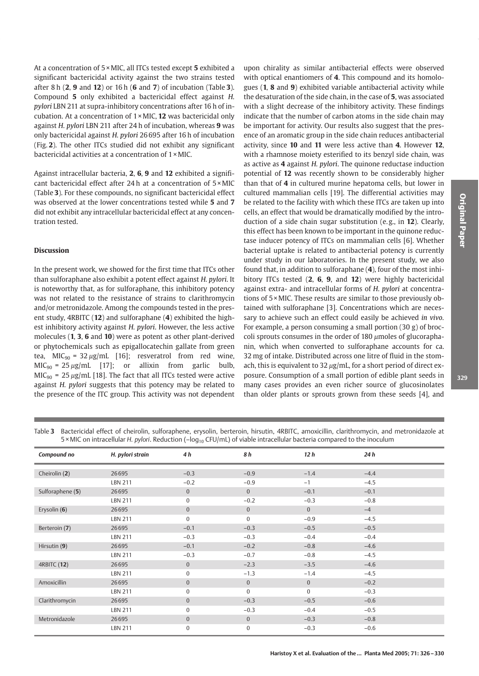At a concentration of 5 × MIC, all ITCs tested except 5 exhibited a significant bactericidal activity against the two strains tested after  $8 h(2, 9 \text{ and } 12)$  or  $16 h(6 \text{ and } 7)$  of incubation (Table 3). Compound 5 only exhibited a bactericidal effect against H. pylori LBN 211 at supra-inhibitory concentrations after 16 h of incubation. At a concentration of  $1 \times$  MIC, 12 was bactericidal only against H. pylori LBN 211 after 24 h of incubation, whereas 9 was only bactericidal against H. pylori 26 695 after 16 h of incubation (Fig. 2). The other ITCs studied did not exhibit any significant bactericidal activities at a concentration of 1 × MIC.

Against intracellular bacteria, 2, 6, 9 and 12 exhibited a significant bactericidal effect after 24 h at a concentration of 5 × MIC (Table 3). For these compounds, no significant bactericidal effect was observed at the lower concentrations tested while 5 and 7 did not exhibit any intracellular bactericidal effect at any concentration tested.

### **Discussion**

In the present work, we showed for the first time that ITCs other than sulforaphane also exhibit a potent effect against H. pylori. It is noteworthy that, as for sulforaphane, this inhibitory potency was not related to the resistance of strains to clarithromycin and/or metronidazole. Among the compounds tested in the present study, 4RBITC (12) and sulforaphane (4) exhibited the highest inhibitory activity against H. pylori. However, the less active molecules (1, 3, 6 and 10) were as potent as other plant-derived or phytochemicals such as epigallocatechin gallate from green tea, MIC<sub>90</sub> = 32 µg/mL [16]; resveratrol from red wine,  $MIC<sub>90</sub> = 25 \mu g/mL$  [17]; or allixin from garlic bulb,  $MIC<sub>90</sub> = 25 \mu g/mL$  [18]. The fact that all ITCs tested were active against H. pylori suggests that this potency may be related to the presence of the ITC group. This activity was not dependent

upon chirality as similar antibacterial effects were observed with optical enantiomers of 4. This compound and its homologues (1, 8 and 9) exhibited variable antibacterial activity while the desaturation of the side chain, in the case of 5, was associated with a slight decrease of the inhibitory activity. These findings indicate that the number of carbon atoms in the side chain may be important for activity. Our results also suggest that the presence of an aromatic group in the side chain reduces antibacterial activity, since 10 and 11 were less active than 4. However 12, with a rhamnose moiety esterified to its benzyl side chain, was as active as 4 against H. pylori. The quinone reductase induction potential of 12 was recently shown to be considerably higher than that of 4 in cultured murine hepatoma cells, but lower in cultured mammalian cells [19]. The differential activities may be related to the facility with which these ITCs are taken up into cells, an effect that would be dramatically modified by the introduction of a side chain sugar substitution (e.g., in 12). Clearly, this effect has been known to be important in the quinone reductase inducer potency of ITCs on mammalian cells [6]. Whether bacterial uptake is related to antibacterial potency is currently under study in our laboratories. In the present study, we also found that, in addition to sulforaphane (4), four of the most inhibitory ITCs tested (2, 6, 9, and 12) were highly bactericidal against extra- and intracellular forms of H. pylori at concentrations of 5 × MIC. These results are similar to those previously obtained with sulforaphane [3]. Concentrations which are necessary to achieve such an effect could easily be achieved in vivo. For example, a person consuming a small portion  $(30 g)$  of broccoli sprouts consumes in the order of 180  $\mu$ moles of glucoraphanin, which when converted to sulforaphane accounts for ca. 32 mg of intake. Distributed across one litre of fluid in the stomach, this is equivalent to  $32 \mu g/mL$ , for a short period of direct exposure. Consumption of a small portion of edible plant seeds in many cases provides an even richer source of glucosinolates than older plants or sprouts grown from these seeds [4], and

Table 3 Bactericidal effect of cheirolin, sulforaphene, erysolin, berteroin, hirsutin, 4RBITC, amoxicillin, clarithromycin, and metronidazole at 5 × MIC on intracellular H. pylori. Reduction (-log<sub>10</sub> CFU/mL) of viable intracellular bacteria compared to the inoculum

| Compound no        | H. pylori strain | 4 h            | 8 h            | 12h            | 24 h   |
|--------------------|------------------|----------------|----------------|----------------|--------|
| Cheirolin (2)      | 26695            | $-0.3$         | $-0.9$         | $-1.4$         | $-4.4$ |
|                    | <b>LBN 211</b>   | $-0.2$         | $-0.9$         | $-1$           | $-4.5$ |
| Sulforaphene (5)   | 26695            | $\mathbf{0}$   | $\overline{0}$ | $-0.1$         | $-0.1$ |
|                    | <b>LBN 211</b>   | 0              | $-0.2$         | $-0.3$         | $-0.8$ |
| Erysolin (6)       | 26695            | $\mathbf{0}$   | $\overline{0}$ | $\overline{0}$ | $-4$   |
|                    | <b>LBN 211</b>   | $\mathbf{0}$   | $\Omega$       | $-0.9$         | $-4.5$ |
| Berteroin (7)      | 26695            | $-0.1$         | $-0.3$         | $-0.5$         | $-0.5$ |
|                    | <b>LBN 211</b>   | $-0.3$         | $-0.3$         | $-0.4$         | $-0.4$ |
| Hirsutin (9)       | 26695            | $-0.1$         | $-0.2$         | $-0.8$         | $-4.6$ |
|                    | <b>LBN 211</b>   | $-0.3$         | $-0.7$         | $-0.8$         | $-4.5$ |
| <b>4RBITC (12)</b> | 26695            | $\mathbf{0}$   | $-2.3$         | $-3.5$         | $-4.6$ |
|                    | <b>LBN 211</b>   | $\mathbf{0}$   | $-1.3$         | $-1.4$         | $-4.5$ |
| Amoxicillin        | 26695            | $\mathbf{0}$   | $\overline{0}$ | $\overline{0}$ | $-0.2$ |
|                    | <b>LBN 211</b>   | $\mathbf{0}$   | $\Omega$       | $\Omega$       | $-0.3$ |
| Clarithromycin     | 26695            | $\mathbf{0}$   | $-0.3$         | $-0.5$         | $-0.6$ |
|                    | <b>LBN 211</b>   | $\overline{0}$ | $-0.3$         | $-0.4$         | $-0.5$ |
| Metronidazole      | 26695            | $\bf{0}$       | $\overline{0}$ | $-0.3$         | $-0.8$ |
|                    | <b>LBN 211</b>   | 0              | 0              | $-0.3$         | $-0.6$ |